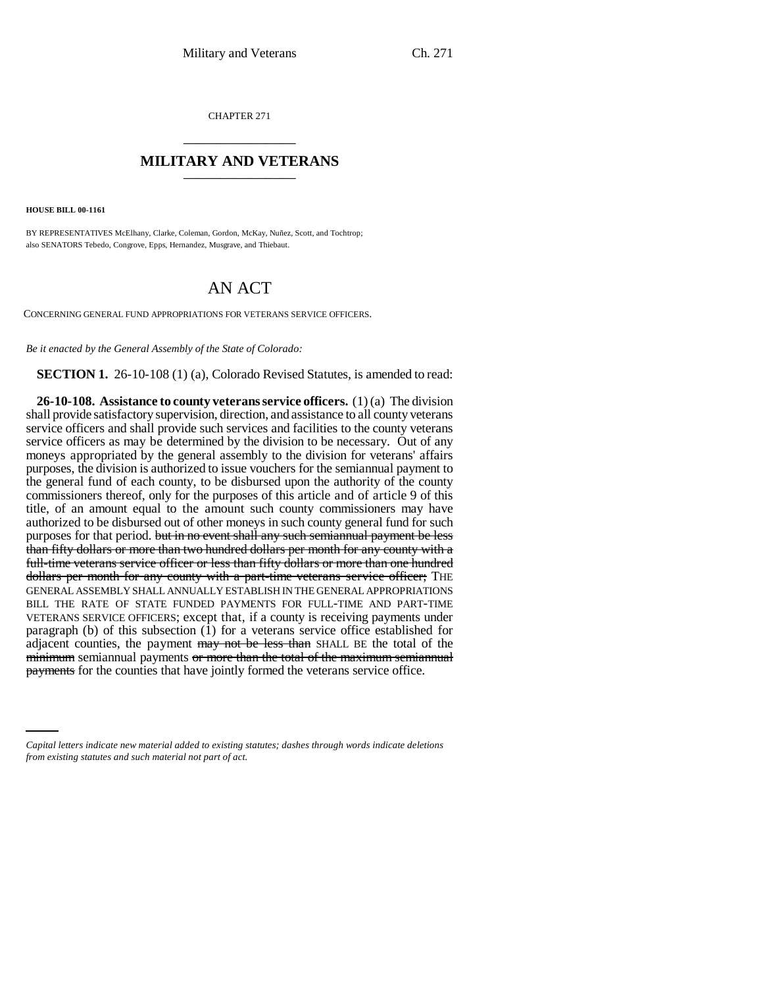CHAPTER 271 \_\_\_\_\_\_\_\_\_\_\_\_\_\_\_

## **MILITARY AND VETERANS** \_\_\_\_\_\_\_\_\_\_\_\_\_\_\_

**HOUSE BILL 00-1161** 

BY REPRESENTATIVES McElhany, Clarke, Coleman, Gordon, McKay, Nuñez, Scott, and Tochtrop; also SENATORS Tebedo, Congrove, Epps, Hernandez, Musgrave, and Thiebaut.

## AN ACT

CONCERNING GENERAL FUND APPROPRIATIONS FOR VETERANS SERVICE OFFICERS.

*Be it enacted by the General Assembly of the State of Colorado:*

**SECTION 1.** 26-10-108 (1) (a), Colorado Revised Statutes, is amended to read:

payments for the counties that have jointly formed the veterans service office. **26-10-108. Assistance to county veterans service officers.** (1) (a) The division shall provide satisfactory supervision, direction, and assistance to all county veterans service officers and shall provide such services and facilities to the county veterans service officers as may be determined by the division to be necessary. Out of any moneys appropriated by the general assembly to the division for veterans' affairs purposes, the division is authorized to issue vouchers for the semiannual payment to the general fund of each county, to be disbursed upon the authority of the county commissioners thereof, only for the purposes of this article and of article 9 of this title, of an amount equal to the amount such county commissioners may have authorized to be disbursed out of other moneys in such county general fund for such purposes for that period. but in no event shall any such semiannual payment be less than fifty dollars or more than two hundred dollars per month for any county with a full-time veterans service officer or less than fifty dollars or more than one hundred dollars per month for any county with a part-time veterans service officer; THE GENERAL ASSEMBLY SHALL ANNUALLY ESTABLISH IN THE GENERAL APPROPRIATIONS BILL THE RATE OF STATE FUNDED PAYMENTS FOR FULL-TIME AND PART-TIME VETERANS SERVICE OFFICERS; except that, if a county is receiving payments under paragraph (b) of this subsection (1) for a veterans service office established for adjacent counties, the payment may not be less than SHALL BE the total of the minimum semiannual payments or more than the total of the maximum semiannual

*Capital letters indicate new material added to existing statutes; dashes through words indicate deletions from existing statutes and such material not part of act.*